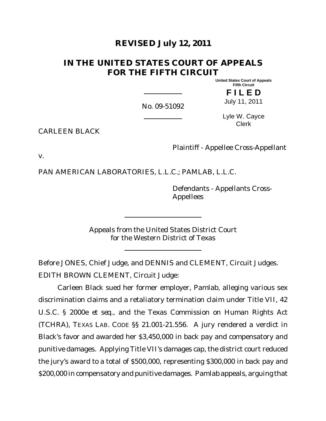# **REVISED July 12, 2011**

# **IN THE UNITED STATES COURT OF APPEALS FOR THE FIFTH CIRCUIT**

**United States Court of Appeals Fifth Circuit**

> **F I L E D** July 11, 2011

No. 09-51092

Lyle W. Cayce Clerk

CARLEEN BLACK

Plaintiff - Appellee Cross-Appellant

v.

PAN AMERICAN LABORATORIES, L.L.C.; PAMLAB, L.L.C.

Defendants - Appellants Cross-Appellees

Appeals from the United States District Court for the Western District of Texas

Before JONES, Chief Judge, and DENNIS and CLEMENT, Circuit Judges. EDITH BROWN CLEMENT, Circuit Judge:

Carleen Black sued her former employer, Pamlab, alleging various sex discrimination claims and a retaliatory termination claim under Title VII, 42 U.S.C. § 2000e *et seq.*, and the Texas Commission on Human Rights Act (TCHRA), TEXAS LAB. CODE §§ 21.001-21.556. A jury rendered a verdict in Black's favor and awarded her \$3,450,000 in back pay and compensatory and punitive damages. Applying Title VII's damages cap, the district court reduced the jury's award to a total of \$500,000, representing \$300,000 in back pay and \$200,000 in compensatory and punitive damages. Pamlab appeals, arguing that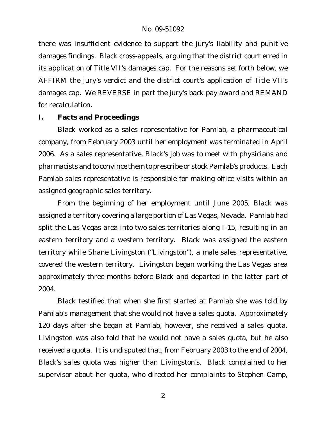there was insufficient evidence to support the jury's liability and punitive damages findings. Black cross-appeals, arguing that the district court erred in its application of Title VII's damages cap. For the reasons set forth below, we AFFIRM the jury's verdict and the district court's application of Title VII's damages cap. We REVERSE in part the jury's back pay award and REMAND for recalculation.

# **I. Facts and Proceedings**

Black worked as a sales representative for Pamlab, a pharmaceutical company, from February 2003 until her employment was terminated in April 2006. As a sales representative, Black's job was to meet with physicians and pharmacists and to convince them to prescribe or stock Pamlab's products. Each Pamlab sales representative is responsible for making office visits within an assigned geographic sales territory.

From the beginning of her employment until June 2005, Black was assigned a territory covering a large portion of Las Vegas, Nevada. Pamlab had split the Las Vegas area into two sales territories along I-15, resulting in an eastern territory and a western territory. Black was assigned the eastern territory while Shane Livingston ("Livingston"), a male sales representative, covered the western territory. Livingston began working the Las Vegas area approximately three months before Black and departed in the latter part of 2004.

Black testified that when she first started at Pamlab she was told by Pamlab's management that she would not have a sales quota. Approximately 120 days after she began at Pamlab, however, she received a sales quota. Livingston was also told that he would not have a sales quota, but he also received a quota. It is undisputed that, from February 2003 to the end of 2004, Black's sales quota was higher than Livingston's. Black complained to her supervisor about her quota, who directed her complaints to Stephen Camp,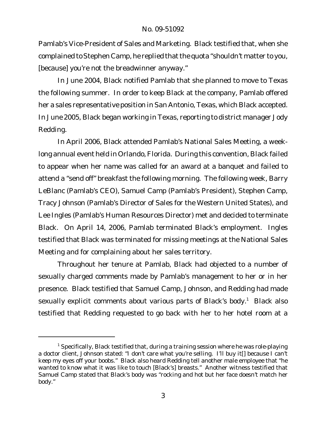Pamlab's Vice-President of Sales and Marketing. Black testified that, when she complained to Stephen Camp, he replied that the quota "shouldn't matter to you, [because] you're not the breadwinner anyway."

In June 2004, Black notified Pamlab that she planned to move to Texas the following summer. In order to keep Black at the company, Pamlab offered her a sales representative position in San Antonio, Texas, which Black accepted. In June 2005, Black began working in Texas, reporting to district manager Jody Redding.

In April 2006, Black attended Pamlab's National Sales Meeting, a weeklong annual event held in Orlando, Florida. During this convention, Black failed to appear when her name was called for an award at a banquet and failed to attend a "send off" breakfast the following morning. The following week, Barry LeBlanc (Pamlab's CEO), Samuel Camp (Pamlab's President), Stephen Camp, Tracy Johnson (Pamlab's Director of Sales for the Western United States), and Lee Ingles (Pamlab's Human Resources Director) met and decided to terminate Black. On April 14, 2006, Pamlab terminated Black's employment. Ingles testified that Black was terminated for missing meetings at the National Sales Meeting and for complaining about her sales territory.

Throughout her tenure at Pamlab, Black had objected to a number of sexually charged comments made by Pamlab's management to her or in her presence. Black testified that Samuel Camp, Johnson, and Redding had made sexually explicit comments about various parts of Black's body.<sup>1</sup> Black also testified that Redding requested to go back with her to her hotel room at a

 $1$  Specifically, Black testified that, during a training session where he was role-playing a doctor client, Johnson stated: "I don't care what you're selling. I'll buy it[] because I can't keep my eyes off your boobs." Black also heard Redding tell another male employee that "he wanted to know what it was like to touch [Black's] breasts." Another witness testified that Samuel Camp stated that Black's body was "rocking and hot but her face doesn't match her body."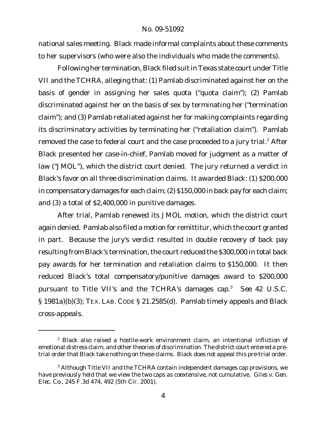national sales meeting. Black made informal complaints about these comments to her supervisors (who were also the individuals who made the comments).

Following her termination, Black filed suit in Texas state court under Title VII and the TCHRA, alleging that: (1) Pamlab discriminated against her on the basis of gender in assigning her sales quota ("quota claim"); (2) Pamlab discriminated against her on the basis of sex by terminating her ("termination claim"); and (3) Pamlab retaliated against her for making complaints regarding its discriminatory activities by terminating her ("retaliation claim"). Pamlab removed the case to federal court and the case proceeded to a jury trial.<sup>2</sup> After Black presented her case-in-chief, Pamlab moved for judgment as a matter of law ("JMOL"), which the district court denied. The jury returned a verdict in Black's favor on all three discrimination claims. It awarded Black: (1) \$200,000 in compensatory damages for each claim; (2) \$150,000 in back pay for each claim; and (3) a total of \$2,400,000 in punitive damages.

After trial, Pamlab renewed its JMOL motion, which the district court again denied. Pamlab also filed a motion for remittitur, which the court granted in part. Because the jury's verdict resulted in double recovery of back pay resulting from Black's termination, the court reduced the \$300,000 in total back pay awards for her termination and retaliation claims to \$150,000. It then reduced Black's total compensatory/punitive damages award to \$200,000 pursuant to Title VII's and the TCHRA's damages cap.<sup>3</sup> *See* 42 U.S.C. § 1981a)(b)(3); TEX. LAB. CODE § 21.2585(d). Pamlab timely appeals and Black cross-appeals.

 $2$  Black also raised a hostile-work environment claim, an intentional infliction of emotional distress claim, and other theories of discrimination. The district court entered a pretrial order that Black take nothing on these claims. Black does not appeal this pre-trial order.

<sup>&</sup>lt;sup>3</sup> Although Title VII and the TCHRA contain independent damages cap provisions, we have previously held that we view the two caps as coextensive, not cumulative. *Giles v. Gen. Elec. Co.*, 245 F.3d 474, 492 (5th Cir. 2001).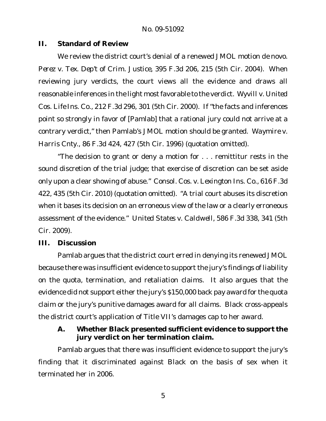**II. Standard of Review**

We review the district court's denial of a renewed JMOL motion *de novo*. *Perez v. Tex. Dep't of Crim. Justice*, 395 F.3d 206, 215 (5th Cir. 2004). When reviewing jury verdicts, the court views all the evidence and draws all reasonable inferences in the light mostfavorable to the verdict. *Wyvill v. United Cos. Life Ins. Co.*, 212 F.3d 296, 301 (5th Cir. 2000). If "the facts and inferences point so strongly in favor of [Pamlab] that a rational jury could not arrive at a contrary verdict," then Pamlab's JMOL motion should be granted. *Waymire v. Harris Cnty.*, 86 F.3d 424, 427 (5th Cir. 1996) (quotation omitted).

"The decision to grant or deny a motion for . . . remittitur rests in the sound discretion of the trial judge; that exercise of discretion can be set aside only upon a clear showing of abuse." *Consol. Cos. v. Lexington Ins. Co.*, 616 F.3d 422, 435 (5th Cir. 2010) (quotation omitted). "A trial court abuses its discretion when it bases its decision on an erroneous view of the law or a clearly erroneous assessment of the evidence." *United States v. Caldwell*, 586 F.3d 338, 341 (5th Cir. 2009).

**III. Discussion**

Pamlab argues that the district court erred in denying its renewed JMOL because there was insufficient evidence to support the jury's findings of liability on the quota, termination, and retaliation claims. It also argues that the evidence did not support either the jury's \$150,000 back pay award for the quota claim or the jury's punitive damages award for all claims. Black cross-appeals the district court's application of Title VII's damages cap to her award.

**A. Whether Black presented sufficient evidence to support the jury verdict on her termination claim.**

Pamlab argues that there was insufficient evidence to support the jury's finding that it discriminated against Black on the basis of sex when it terminated her in 2006.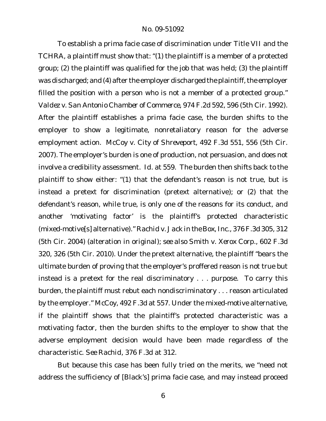To establish a prima facie case of discrimination under Title VII and the TCHRA, a plaintiff must show that: "(1) the plaintiff is a member of a protected group; (2) the plaintiff was qualified for the job that was held; (3) the plaintiff was discharged; and (4) after the employer discharged the plaintiff, the employer filled the position with a person who is not a member of a protected group." *Valdez v. San Antonio Chamber of Commerce*, 974 F.2d 592, 596 (5th Cir. 1992). After the plaintiff establishes a prima facie case, the burden shifts to the employer to show a legitimate, nonretaliatory reason for the adverse employment action. *McCoy v. City of Shreveport*, 492 F.3d 551, 556 (5th Cir. 2007). The employer's burden is one of production, not persuasion, and does not involve a credibility assessment. *Id.* at 559. The burden then shifts back to the plaintiff to show either: "(1) that the defendant's reason is not true, but is instead a pretext for discrimination (pretext alternative); or (2) that the defendant's reason, while true, is only one of the reasons for its conduct, and another 'motivating factor' is the plaintiff's protected characteristic (mixed-motive[s] alternative)." *Rachid v. Jack in the Box, Inc.*, 376 F.3d 305, 312 (5th Cir. 2004) (alteration in original); *see also Smith v. Xerox Corp.*, 602 F.3d 320, 326 (5th Cir. 2010). Under the pretext alternative, the plaintiff "bears the ultimate burden of proving that the employer's proffered reason is not true but instead is a pretext for the real discriminatory . . . purpose. To carry this burden, the plaintiff must rebut each nondiscriminatory . . . reason articulated by the employer." *McCoy*, 492 F.3d at 557. Under the mixed-motive alternative, if the plaintiff shows that the plaintiff's protected characteristic was a motivating factor, then the burden shifts to the employer to show that the adverse employment decision would have been made regardless of the characteristic. *See Rachid*, 376 F.3d at 312.

But because this case has been fully tried on the merits, we "need not address the sufficiency of [Black's] prima facie case, and may instead proceed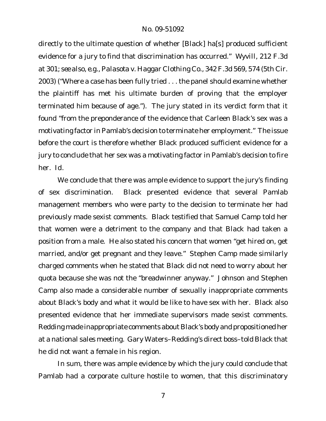directly to the ultimate question of whether [Black] ha[s] produced sufficient evidence for a jury to find that discrimination has occurred." *Wyvill*, 212 F.3d at 301; *see also, e.g.*, *Palasota v. Haggar Clothing Co.*, 342 F.3d 569, 574 (5th Cir. 2003) ("Where a case has been fully tried . . . the panel should examine whether the plaintiff has met his ultimate burden of proving that the employer terminated him because of age.")*.* The jury stated in its verdict form that it found "from the preponderance of the evidence that Carleen Black's sex was a motivating factor in Pamlab's decision to terminate her employment." The issue before the court is therefore whether Black produced sufficient evidence for a jury to conclude that her sex was a motivating factor in Pamlab's decision to fire her. *Id.*

We conclude that there was ample evidence to support the jury's finding of sex discrimination. Black presented evidence that several Pamlab management members who were party to the decision to terminate her had previously made sexist comments. Black testified that Samuel Camp told her that women were a detriment to the company and that Black had taken a position from a male. He also stated his concern that women "get hired on, get married, and/or get pregnant and they leave." Stephen Camp made similarly charged comments when he stated that Black did not need to worry about her quota because she was not the "breadwinner anyway." Johnson and Stephen Camp also made a considerable number of sexually inappropriate comments about Black's body and what it would be like to have sex with her. Black also presented evidence that her immediate supervisors made sexist comments. Redding made inappropriate comments about Black's body and propositioned her at a national sales meeting. Gary Waters–Redding's direct boss–told Black that he did not want a female in his region.

In sum, there was ample evidence by which the jury could conclude that Pamlab had a corporate culture hostile to women, that this discriminatory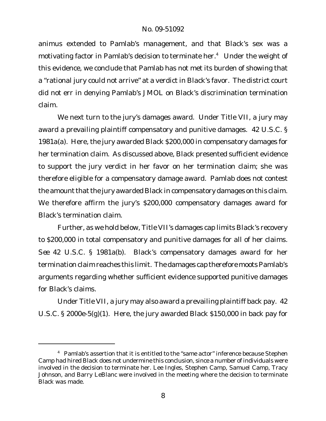animus extended to Pamlab's management, and that Black's sex was a motivating factor in Pamlab's decision to terminate her.<sup>4</sup> Under the weight of this evidence, we conclude that Pamlab has not met its burden of showing that a "rational jury could not arrive" at a verdict in Black's favor. The district court did not err in denying Pamlab's JMOL on Black's discrimination termination claim.

We next turn to the jury's damages award. Under Title VII, a jury may award a prevailing plaintiff compensatory and punitive damages. 42 U.S.C. § 1981a(a). Here, the jury awarded Black \$200,000 in compensatory damages for her termination claim. As discussed above, Black presented sufficient evidence to support the jury verdict in her favor on her termination claim; she was therefore eligible for a compensatory damage award. Pamlab does not contest the amount that the jury awarded Black in compensatory damages on this claim. We therefore affirm the jury's \$200,000 compensatory damages award for Black's termination claim.

Further, as we hold below, Title VII's damages cap limits Black's recovery to \$200,000 in total compensatory and punitive damages for all of her claims. *See* 42 U.S.C. § 1981a(b). Black's compensatory damages award for her termination claim reaches this limit. The damages cap therefore moots Pamlab's arguments regarding whether sufficient evidence supported punitive damages for Black's claims.

Under Title VII, a jury may also award a prevailing plaintiff back pay. 42 U.S.C. § 2000e-5(g)(1). Here, the jury awarded Black \$150,000 in back pay for

<sup>&</sup>lt;sup>4</sup> Pamlab's assertion that it is entitled to the "same actor" inference because Stephen Camp had hired Black does not undermine this conclusion, since a number of individuals were involved in the decision to terminate her. Lee Ingles, Stephen Camp, Samuel Camp, Tracy Johnson, and Barry LeBlanc were involved in the meeting where the decision to terminate Black was made.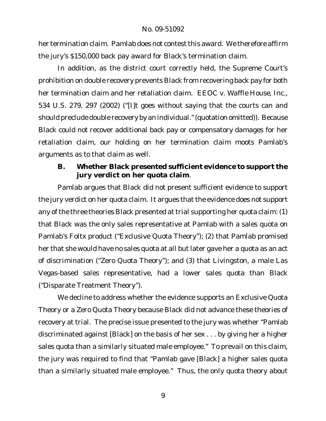her termination claim. Pamlab does not contest this award. We therefore affirm the jury's \$150,000 back pay award for Black's termination claim.

In addition, as the district court correctly held, the Supreme Court's prohibition on double recovery prevents Black from recovering back pay for both her termination claim and her retaliation claim. *EEOC v. Waffle House, Inc.*, 534 U.S. 279, 297 (2002) ("[I]t goes without saying that the courts can and should preclude double recovery by an individual." (quotation omitted)). Because Black could not recover additional back pay or compensatory damages for her retaliation claim, our holding on her termination claim moots Pamlab's arguments as to that claim as well.

**B. Whether Black presented sufficient evidence to support the jury verdict on her quota claim**.

Pamlab argues that Black did not present sufficient evidence to support the jury verdict on her quota claim. It argues that the evidence does not support any of the three theories Black presented at trial supporting her quota claim: (1) that Black was the only sales representative at Pamlab with a sales quota on Pamlab's Foltx product ("Exclusive Quota Theory"); (2) that Pamlab promised her that she would have no sales quota at all but later gave her a quota as an act of discrimination ("Zero Quota Theory"); and (3) that Livingston, a male Las Vegas-based sales representative, had a lower sales quota than Black ("Disparate Treatment Theory").

We decline to address whether the evidence supports an Exclusive Quota Theory or a Zero Quota Theory because Black did not advance these theories of recovery at trial. The precise issue presented to the jury was whether "Pamlab discriminated against [Black] on the basis of her sex . . . by giving her a higher sales quota than a similarly situated male employee." To prevail on this claim, the jury was required to find that "Pamlab gave [Black] a higher sales quota than a similarly situated male employee." Thus, the only quota theory about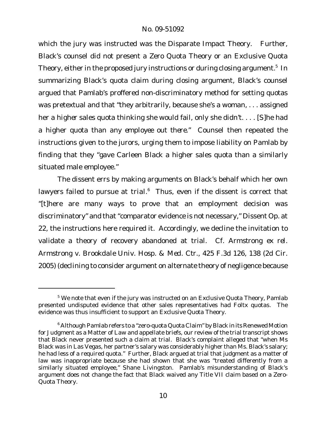which the jury was instructed was the Disparate Impact Theory. Further, Black's counsel did not present a Zero Quota Theory or an Exclusive Quota Theory, either in the proposed jury instructions or during closing argument. $^{\mathrm{5}}$  In summarizing Black's quota claim during closing argument, Black's counsel argued that Pamlab's proffered non-discriminatory method for setting quotas was pretextual and that "they arbitrarily, because she's a woman, . . . assigned her a *higher* sales quota thinking she would fail, only she didn't. . . . [S]he had a higher quota than *any employee out there*." Counsel then repeated the instructions given to the jurors, urging them to impose liability on Pamlab by finding that they "gave Carleen Black a higher sales quota than a similarly situated male employee."

The dissent errs by making arguments on Black's behalf which her own lawyers failed to pursue at trial.<sup>6</sup> Thus, even if the dissent is correct that "[t]here are many ways to prove that an employment decision was discriminatory" and that "comparator evidence is not necessary," Dissent Op. at 22, the instructions here required it. Accordingly, we decline the invitation to validate a theory of recovery abandoned at trial. *Cf. Armstrong ex rel. Armstrong v. Brookdale Univ. Hosp. & Med. Ctr.*, 425 F.3d 126, 138 (2d Cir. 2005) (declining to consider argument on alternate theory of negligence because

<sup>&</sup>lt;sup>5</sup> We note that even if the jury was instructed on an Exclusive Quota Theory, Pamlab presented undisputed evidence that other sales representatives had Foltx quotas. The evidence was thus insufficient to support an Exclusive Quota Theory.

<sup>&</sup>lt;sup>6</sup> Although Pamlab refers to a "zero-quota Quota Claim" by Black in its Renewed Motion for Judgment as a Matter of Law and appellate briefs, our review of the trial transcript shows that Black never presented such a claim at trial. Black's complaint alleged that "when Ms Black was in Las Vegas, her partner's salary was considerably higher than Ms. Black's salary; he had less of a required quota." Further, Black argued at trial that judgment as a matter of law was inappropriate because she had shown that she was "treated differently from a similarly situated employee," Shane Livingston. Pamlab's misunderstanding of Black's argument does not change the fact that Black waived any Title VII claim based on a Zero-Quota Theory.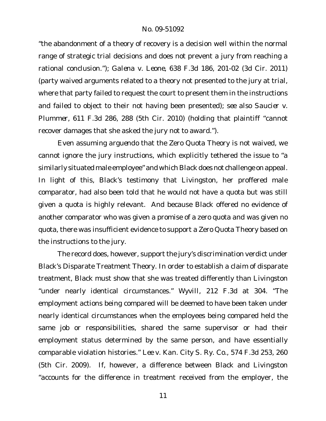"the abandonment of a theory of recovery is a decision well within the normal range of strategic trial decisions and does not prevent a jury from reaching a rational conclusion."); *Galena v. Leone*, 638 F.3d 186, 201-02 (3d Cir. 2011) (party waived arguments related to a theory not presented to the jury at trial, where that party failed to request the court to present them in the instructions and failed to object to their not having been presented); *see also Saucier v. Plummer*, 611 F.3d 286, 288 (5th Cir. 2010) (holding that plaintiff "cannot recover damages that she asked the jury not to award.").

Even assuming *arguendo* that the Zero Quota Theory is not waived, we cannot ignore the jury instructions, which explicitly tethered the issue to "a similarly situated male employee" and which Black does not challenge on appeal. In light of this, Black's testimony that Livingston, her proffered male comparator, had also been told that he would not have a quota but was still given a quota is highly relevant. And because Black offered no evidence of another comparator who was given a promise of a zero quota *and* was given no quota, there was insufficient evidence to support a Zero Quota Theory based on the instructions to the jury.

The record does, however, support the jury's discrimination verdict under Black's Disparate Treatment Theory. In order to establish a claim of disparate treatment, Black must show that she was treated differently than Livingston "under nearly identical circumstances." *Wyvill*, 212 F.3d at 304. "The employment actions being compared will be deemed to have been taken under nearly identical circumstances when the employees being compared held the same job or responsibilities, shared the same supervisor or had their employment status determined by the same person, and have essentially comparable violation histories." *Lee v. Kan. City S. Ry. Co.*, 574 F.3d 253, 260 (5th Cir. 2009). If, however, a difference between Black and Livingston "*accounts for* the difference in treatment received from the employer, the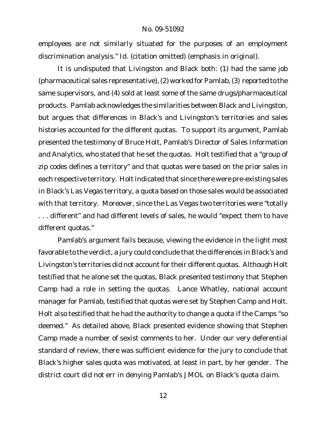employees are not similarly situated for the purposes of an employment discrimination analysis." *Id.* (citation omitted) (emphasis in original).

It is undisputed that Livingston and Black both: (1) had the same job (pharmaceutical sales representative), (2) worked for Pamlab, (3) reported to the same supervisors, and (4) sold at least some of the same drugs/pharmaceutical products. Pamlab acknowledges the similarities between Black and Livingston, but argues that differences in Black's and Livingston's territories and sales histories accounted for the different quotas. To support its argument, Pamlab presented the testimony of Bruce Holt, Pamlab's Director of Sales Information and Analytics, who stated that he set the quotas. Holt testified that a "group of zip codes defines a territory" and that quotas were based on the prior sales in each respective territory. Holt indicated that since there were pre-existing sales in Black's Las Vegas territory, a quota based on those sales would be associated with that territory. Moreover, since the Las Vegas two territories were "totally . . . different" and had different levels of sales, he would "expect them to have different quotas."

Pamlab's argument fails because, viewing the evidence in the light most favorable to the verdict, a jury could conclude that the differences in Black's and Livingston's territories did not account for their different quotas. Although Holt testified that he alone set the quotas, Black presented testimony that Stephen Camp had a role in setting the quotas. Lance Whatley, national account manager for Pamlab, testified that quotas were set by Stephen Camp and Holt. Holt also testified that he had the authority to change a quota if the Camps "so deemed." As detailed above, Black presented evidence showing that Stephen Camp made a number of sexist comments to her. Under our very deferential standard of review, there was sufficient evidence for the jury to conclude that Black's higher sales quota was motivated, at least in part, by her gender. The district court did not err in denying Pamlab's JMOL on Black's quota claim.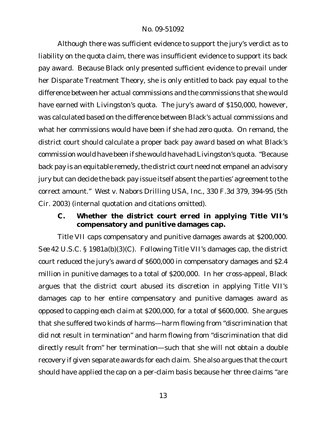Although there was sufficient evidence to support the jury's verdict as to liability on the quota claim, there was insufficient evidence to support its back pay award. Because Black only presented sufficient evidence to prevail under her Disparate Treatment Theory, she is only entitled to back pay equal to the difference between her actual commissions and the commissions that she would have earned with Livingston's quota. The jury's award of \$150,000, however, was calculated based on the difference between Black's actual commissions and what her commissions would have been if she had *zero* quota. On remand, the district court should calculate a proper back pay award based on what Black's commission would have been if she would have had Livingston's quota. "Because back pay is an equitable remedy, the district court need not empanel an advisory jury but can decide the back pay issue itself absent the parties' agreement to the correct amount." *West v. Nabors Drilling USA, Inc.*, 330 F.3d 379, 394-95 (5th Cir. 2003) (internal quotation and citations omitted).

**C. Whether the district court erred in applying Title VII's compensatory and punitive damages cap.**

Title VII caps compensatory and punitive damages awards at \$200,000. *See* 42 U.S.C. § 1981a(b)(3)(C). Following Title VII's damages cap, the district court reduced the jury's award of \$600,000 in compensatory damages and \$2.4 million in punitive damages to a total of \$200,000. In her cross-appeal, Black argues that the district court abused its discretion in applying Title VII's damages cap to her entire compensatory and punitive damages award as opposed to capping *each claim* at \$200,000, for a total of \$600,000. She argues that she suffered two kinds of harms—harm flowing from "discrimination that did not result in termination" and harm flowing from "discrimination that did directly result from" her termination—such that she will not obtain a double recovery if given separate awards for each claim. She also argues that the court should have applied the cap on a per-claim basis because her three claims "are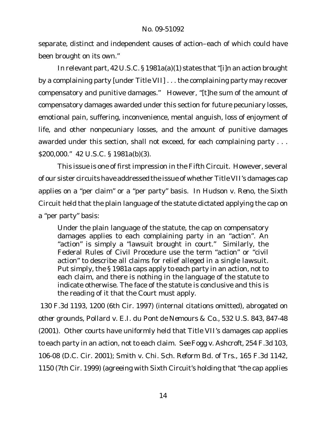separate, distinct and independent causes of action–each of which could have been brought on its own."

In relevant part, 42 U.S.C. § 1981a(a)(1) states that "[i]n an action brought by a complaining party [under Title VII] . . . the complaining party may recover compensatory and punitive damages." However, "[t]he sum of the amount of compensatory damages awarded under this section for future pecuniary losses, emotional pain, suffering, inconvenience, mental anguish, loss of enjoyment of life, and other nonpecuniary losses, and the amount of punitive damages awarded under this section, shall not exceed, for each complaining party . . . \$200,000." 42 U.S.C. § 1981a(b)(3).

This issue is one of first impression in the Fifth Circuit. However, several of our sister circuits have addressed the issue of whether Title VII's damages cap applies on a "per claim" or a "per party" basis. In *Hudson v. Reno*, the Sixth Circuit held that the plain language of the statute dictated applying the cap on a "per party" basis:

Under the plain language of the statute, the cap on compensatory damages applies to each complaining party in an "action". An "action" is simply a "lawsuit brought in court." Similarly, the Federal Rules of Civil Procedure use the term "action" or "civil action" to describe all claims for relief alleged in a single lawsuit. Put simply, the § 1981a caps apply to each party in an action, not to each claim, and there is nothing in the language of the statute to indicate otherwise. The face of the statute is conclusive and this is the reading of it that the Court must apply.

130 F.3d 1193, 1200 (6th Cir. 1997) (internal citations omitted), *abrogated on other grounds*, *Pollard v. E.I. du Pont de Nemours & Co.*, 532 U.S. 843, 847-48 (2001). Other courts have uniformly held that Title VII's damages cap applies to each party in an action, not to each claim. *See Fogg v. Ashcroft*, 254 F.3d 103, 106-08 (D.C. Cir. 2001); *Smith v. Chi. Sch. Reform Bd. of Trs.*, 165 F.3d 1142, 1150 (7th Cir. 1999) (agreeing with Sixth Circuit's holding that "the cap applies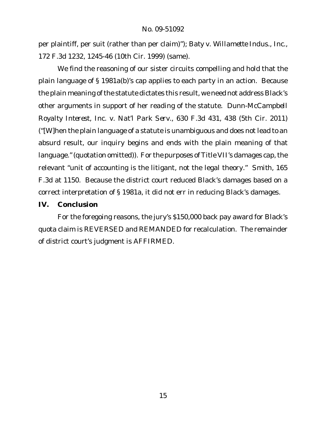per plaintiff, per suit (rather than per claim)"); *Baty v. Willamette Indus.*, *Inc.*, 172 F.3d 1232, 1245-46 (10th Cir. 1999) (same).

We find the reasoning of our sister circuits compelling and hold that the plain language of § 1981a(b)'s cap applies to each party in an action. Because the plain meaning of the statute dictates this result, we need not address Black's other arguments in support of her reading of the statute. *Dunn-McCampbell Royalty Interest, Inc. v. Nat'l Park Serv.*, 630 F.3d 431, 438 (5th Cir. 2011) ("[W]hen the plain language of a statute is unambiguous and does not lead to an absurd result, our inquiry begins and ends with the plain meaning of that language."(quotation omitted)). For the purposes of Title VII's damages cap, the relevant "unit of accounting is the litigant, not the legal theory." *Smith*, 165 F.3d at 1150. Because the district court reduced Black's damages based on a correct interpretation of § 1981a, it did not err in reducing Black's damages.

## **IV. Conclusion**

For the foregoing reasons, the jury's \$150,000 back pay award for Black's quota claim is REVERSED and REMANDED for recalculation. The remainder of district court's judgment is AFFIRMED.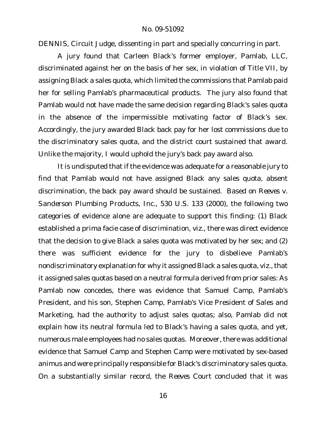DENNIS, Circuit Judge, dissenting in part and specially concurring in part.

A jury found that Carleen Black's former employer, Pamlab, LLC, discriminated against her on the basis of her sex, in violation of Title VII, by assigning Black a sales quota, which limited the commissions that Pamlab paid her for selling Pamlab's pharmaceutical products. The jury also found that Pamlab would not have made the same decision regarding Black's sales quota in the absence of the impermissible motivating factor of Black's sex. Accordingly, the jury awarded Black back pay for her lost commissions due to the discriminatory sales quota, and the district court sustained that award. Unlike the majority, I would uphold the jury's back pay award also.

It is undisputed that if the evidence was adequate for a reasonable jury to find that Pamlab would not have assigned Black any sales quota, absent discrimination, the back pay award should be sustained. Based on *Reeves v. Sanderson Plumbing Products, Inc.*, 530 U.S. 133 (2000), the following two categories of evidence alone are adequate to support this finding: (1) Black established a prima facie case of discrimination, *viz.*, there was direct evidence that the decision to give Black a sales quota was motivated by her sex; and (2) there was sufficient evidence for the jury to disbelieve Pamlab's nondiscriminatory explanation for why it assigned Black a sales quota, *viz.*,that it assigned sales quotas based on a neutral formula derived from prior sales: As Pamlab now concedes, there was evidence that Samuel Camp, Pamlab's President, and his son, Stephen Camp, Pamlab's Vice President of Sales and Marketing, had the authority to adjust sales quotas; also, Pamlab did not explain how its neutral formula led to Black's having a sales quota, and yet, numerous male employees had no sales quotas. Moreover, there was additional evidence that Samuel Camp and Stephen Camp were motivated by sex-based animus and were principally responsible for Black's discriminatory sales quota. On a substantially similar record, the *Reeves* Court concluded that it was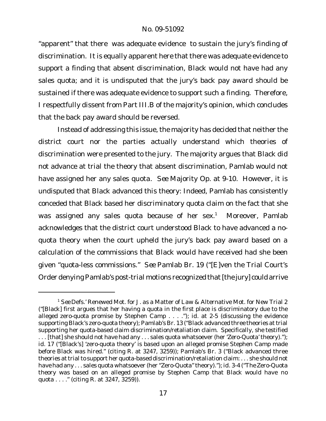"apparent" that there was adequate evidence to sustain the jury's finding of discrimination. It is equally apparent here that there was adequate evidence to support a finding that absent discrimination, Black would not have had any sales quota; and it is undisputed that the jury's back pay award should be sustained if there was adequate evidence to support such a finding. Therefore, I respectfully dissent from Part III.B of the majority's opinion, which concludes that the back pay award should be reversed.

Instead of addressing this issue, the majority has decided that neither the district court nor the parties actually understand which theories of discrimination were presented to the jury. The majority argues that Black did not advance at trial the theory that absent discrimination, Pamlab would not have assigned her any sales quota. *See* Majority Op. at 9-10. However, it is undisputed that Black advanced this theory: Indeed, Pamlab has consistently conceded that Black based her discriminatory quota claim on the fact that she was assigned any sales quota because of her sex.<sup>1</sup> Moreover, Pamlab acknowledges that the district court understood Black to have advanced a noquota theory when the court upheld the jury's back pay award based on a calculation of the commissions that Black would have received had she been given "quota-less commissions." *See* Pamlab Br. 19 ("[E]ven the Trial Court's Order denying Pamlab's post-trial motions recognized that[the jury] could arrive

<sup>1</sup> *See* Defs.' Renewed Mot. for J. as a Matter of Law & Alternative Mot. for New Trial 2 ("[Black] first argues that her having a quota in the first place is discriminatory due to the alleged zero-quota promise by Stephen Camp . . . ."); *id.* at 2-5 (discussing the evidence supporting Black's zero-quota theory); Pamlab's Br. 13 ("Black advanced three theories attrial supporting her quota-based claim discrimination/retaliation claim. Specifically, she testified . . . [that] she should not have had any . . . sales quota whatsoever (her 'Zero-Quota' theory)."); *id.* 17 ("[Black's] 'zero-quota theory' is based upon an alleged promise Stephen Camp made before Black was hired." (citing R. at 3247, 3259)); Pamlab's Br. 3 ("Black advanced three theories at trial to support her quota-based discrimination/retaliation claim: . . . she should not have had any . . . sales quota whatsoever (her "Zero-Quota" theory)."); *id.* 3-4 ("The Zero-Quota theory was based on an alleged promise by Stephen Camp that Black would have no quota . . . ." (citing R. at 3247, 3259)).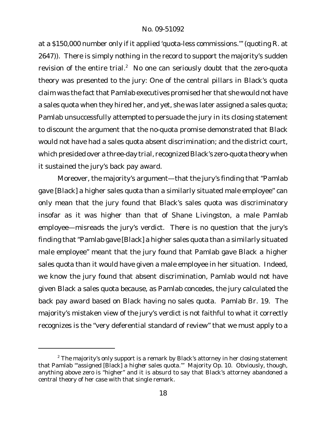at a \$150,000 number only if it applied 'quota-less commissions.'" (quoting R. at 2647)). There is simply nothing in the record to support the majority's sudden revision of the entire trial.<sup>2</sup> No one can seriously doubt that the zero-quota theory was presented to the jury: One of the central pillars in Black's quota claim was the fact that Pamlab executives promised her that she would not have a sales quota when they hired her, and yet, she was later assigned a sales quota; Pamlab unsuccessfully attempted to persuade the jury in its closing statement to discount the argument that the no-quota promise demonstrated that Black would not have had a sales quota absent discrimination; and the district court, which presided over a three-day trial, recognized Black's zero-quota theory when it sustained the jury's back pay award.

Moreover, the majority's argument—that the jury's finding that "Pamlab gave [Black] a higher sales quota than a similarly situated male employee" can only mean that the jury found that Black's sales quota was discriminatory insofar as it was higher than that of Shane Livingston, a male Pamlab employee—misreads the jury's verdict. There is no question that the jury's finding that"Pamlab gave [Black] a higher sales quota than a similarly situated male employee" meant that the jury found that Pamlab gave Black a higher sales quota than it would have given a male employee in her situation. Indeed, we know the jury found that absent discrimination, Pamlab would not have given Black a sales quota because, as Pamlab concedes, the jury calculated the back pay award based on Black having no sales quota. Pamlab Br. 19. The majority's mistaken view of the jury's verdict is not faithful to what it correctly recognizes is the "very deferential standard of review" that we must apply to a

 $2$  The majority's only support is a remark by Black's attorney in her closing statement that Pamlab "'assigned [Black] a *higher* sales quota.'" Majority Op. 10. Obviously, though, anything above zero is "higher" and it is absurd to say that Black's attorney abandoned a central theory of her case with that single remark.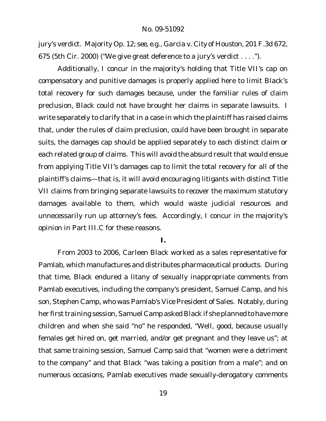jury's verdict. Majority Op. 12; *see, e.g.*, *Garcia v. City of Houston*, 201 F.3d 672, 675 (5th Cir. 2000) ("We give great deference to a jury's verdict . . . .").

Additionally, I concur in the majority's holding that Title VII's cap on compensatory and punitive damages is properly applied here to limit Black's total recovery for such damages because, under the familiar rules of claim preclusion, Black could not have brought her claims in separate lawsuits. I write separately to clarify that in a case in which the plaintiff has raised claims that, under the rules of claim preclusion, could have been brought in separate suits, the damages cap should be applied separately to each distinct claim or each related group of claims. This will avoid the absurd result that would ensue from applying Title VII's damages cap to limit the total recovery for all of the plaintiff's claims—that is, it will avoid encouraging litigants with distinct Title VII claims from bringing separate lawsuits to recover the maximum statutory damages available to them, which would waste judicial resources and unnecessarily run up attorney's fees. Accordingly, I concur in the majority's opinion in Part III.C for these reasons.

**I.**

From 2003 to 2006, Carleen Black worked as a sales representative for Pamlab, which manufactures and distributes pharmaceutical products. During that time, Black endured a litany of sexually inappropriate comments from Pamlab executives, including the company's president, Samuel Camp, and his son, Stephen Camp, who was Pamlab's Vice President of Sales. Notably, during her first training session, Samuel Camp asked Black if she planned to have more children and when she said "no" he responded, "Well, good, because usually females get hired on, get married, and/or get pregnant and they leave us"; at that same training session, Samuel Camp said that "women were a detriment to the company" and that Black "was taking a position from a male"; and on numerous occasions, Pamlab executives made sexually-derogatory comments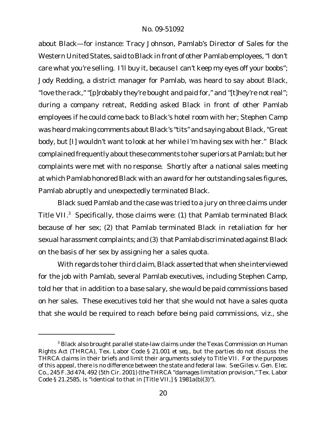about Black—for instance: Tracy Johnson, Pamlab's Director of Sales for the Western United States, said to Black in front of other Pamlab employees, "I don't care what you're selling. I'll buy it, because I can't keep my eyes off your boobs"; Jody Redding, a district manager for Pamlab, was heard to say about Black, "love the rack," "[p]robably they're bought and paid for," and "[t]hey're not real"; during a company retreat, Redding asked Black in front of other Pamlab employees if he could come back to Black's hotel room with her; Stephen Camp was heard making comments about Black's "tits" and saying about Black,"Great body, but [I] wouldn't want to look at her while I'm having sex with her." Black complained frequently about these comments to her superiors at Pamlab; but her complaints were met with no response. Shortly after a national sales meeting at which Pamlab honored Black with an award for her outstanding sales figures, Pamlab abruptly and unexpectedly terminated Black.

Black sued Pamlab and the case was tried to a jury on three claims under Title VII.<sup>3</sup> Specifically, those claims were: (1) that Pamlab terminated Black because of her sex; (2) that Pamlab terminated Black in retaliation for her sexual harassment complaints; and (3) that Pamlab discriminated against Black on the basis of her sex by assigning her a sales quota.

With regards to her third claim, Black asserted that when she interviewed for the job with Pamlab, several Pamlab executives, including Stephen Camp, told her that in addition to a base salary, she would be paid commissions based on her sales. These executives told her that she would not have a sales quota that she would be required to reach before being paid commissions, *viz.*, she

<sup>&</sup>lt;sup>3</sup> Black also brought parallel state-law claims under the Texas Commission on Human Rights Act (THRCA), Tex. Labor Code § 21.001 *et seq.*, but the parties do not discuss the THRCA claims in their briefs and limit their arguments solely to Title VII. For the purposes of this appeal, there is no difference between the state and federal law. *See Giles v. Gen. Elec. Co.*, 245 F.3d 474, 492 (5th Cir. 2001) (the THRCA "damages limitation provision," Tex. Labor Code § 21.2585, is "identical to that in [Title VII,] § 1981a(b)(3)").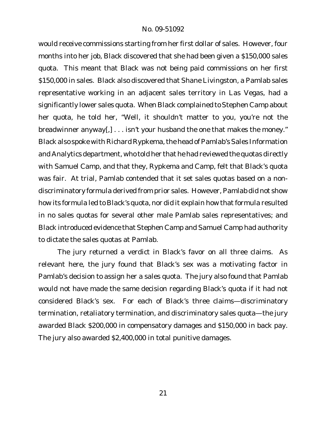would receive commissions starting from her first dollar of sales. However, four months into her job, Black discovered that she had been given a \$150,000 sales quota. This meant that Black was not being paid commissions on her first \$150,000 in sales. Black also discovered that Shane Livingston, a Pamlab sales representative working in an adjacent sales territory in Las Vegas, had a significantly lower sales quota. When Black complained to Stephen Camp about her quota, he told her, "Well, it shouldn't matter to you, you're not the breadwinner anyway[,] . . . isn't your husband the one that makes the money." Black also spoke with Richard Rypkema, the head of Pamlab's Sales Information and Analytics department, who told her that he had reviewed the quotas directly with Samuel Camp, and that they, Rypkema and Camp, felt that Black's quota was fair. At trial, Pamlab contended that it set sales quotas based on a nondiscriminatory formula derived from prior sales. However, Pamlab did not show how its formula led to Black's quota, nor did it explain how that formula resulted in no sales quotas for several other male Pamlab sales representatives; and Black introduced evidence that Stephen Camp and Samuel Camp had authority to dictate the sales quotas at Pamlab.

The jury returned a verdict in Black's favor on all three claims. As relevant here, the jury found that Black's sex was a motivating factor in Pamlab's decision to assign her a sales quota. The jury also found that Pamlab would not have made the same decision regarding Black's quota if it had not considered Black's sex. For each of Black's three claims—discriminatory termination, retaliatory termination, and discriminatory sales quota—the jury awarded Black \$200,000 in compensatory damages and \$150,000 in back pay. The jury also awarded \$2,400,000 in total punitive damages.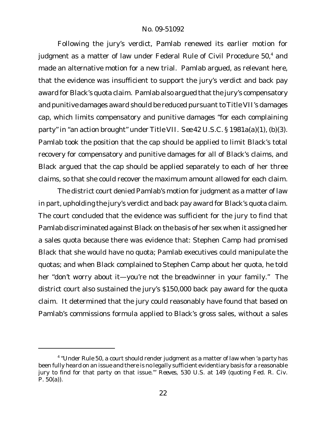Following the jury's verdict, Pamlab renewed its earlier motion for judgment as a matter of law under Federal Rule of Civil Procedure 50,<sup>4</sup> and made an alternative motion for a new trial. Pamlab argued, as relevant here, that the evidence was insufficient to support the jury's verdict and back pay award for Black's quota claim. Pamlab also argued that the jury's compensatory and punitive damages award should be reduced pursuant to Title VII's damages cap, which limits compensatory and punitive damages "for each complaining party" in "an action brought" under Title VII. *See* 42 U.S.C. § 1981a(a)(1), (b)(3). Pamlab took the position that the cap should be applied to limit Black's total recovery for compensatory and punitive damages for all of Black's claims, and Black argued that the cap should be applied separately to each of her three claims, so that she could recover the maximum amount allowed for each claim.

The district court denied Pamlab's motion for judgment as a matter of law in part, upholding the jury's verdict and back pay award for Black's quota claim. The court concluded that the evidence was sufficient for the jury to find that Pamlab discriminated against Black on the basis of her sex when it assigned her a sales quota because there was evidence that: Stephen Camp had promised Black that she would have no quota; Pamlab executives could manipulate the quotas; and when Black complained to Stephen Camp about her quota, he told her "don't worry about it—you're not the breadwinner in your family." The district court also sustained the jury's \$150,000 back pay award for the quota claim. It determined that the jury could reasonably have found that based on Pamlab's commissions formula applied to Black's gross sales, without a sales

<sup>&</sup>lt;sup>4</sup> "Under Rule 50, a court should render judgment as a matter of law when 'a party has been fully heard on an issue and there is no legally sufficient evidentiary basis for a reasonable jury to find for that party on that issue.'" *Reeves*, 530 U.S. at 149 (quoting Fed. R. Civ.  $P. 50(a)$ ).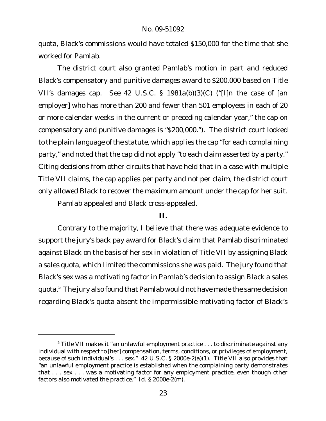quota, Black's commissions would have totaled \$150,000 for the time that she worked for Pamlab.

The district court also granted Pamlab's motion in part and reduced Black's compensatory and punitive damages award to \$200,000 based on Title VII's damages cap. *See* 42 U.S.C. § 1981a(b)(3)(C) ("[I]n the case of [an employer] who has more than 200 and fewer than 501 employees in each of 20 or more calendar weeks in the current or preceding calendar year," the cap on compensatory and punitive damages is "\$200,000."). The district court looked to the plain language of the statute, which applies the cap "for each complaining party," and noted that the cap did not apply "to each claim asserted by a party." Citing decisions from other circuits that have held that in a case with multiple Title VII claims, the cap applies per party and not per claim, the district court only allowed Black to recover the maximum amount under the cap for her suit.

Pamlab appealed and Black cross-appealed.

## **II.**

Contrary to the majority, I believe that there was adequate evidence to support the jury's back pay award for Black's claim that Pamlab discriminated against Black on the basis of her sex in violation of Title VII by assigning Black a sales quota, which limited the commissions she was paid. The jury found that Black's sex was a motivating factor in Pamlab's decision to assign Black a sales quota.<sup>5</sup> The jury also found that Pamlab would not have made the same decision regarding Black's quota absent the impermissible motivating factor of Black's

 $5$  Title VII makes it "an unlawful employment practice  $\dots$  to discriminate against any individual with respect to [her] compensation, terms, conditions, or privileges of employment, because of such individual's . . . sex." 42 U.S.C. § 2000e-2(a)(1). Title VII also provides that "an unlawful employment practice is established when the complaining party demonstrates that . . . sex . . . was a motivating factor for any employment practice, even though other factors also motivated the practice." *Id.* § 2000e-2(m).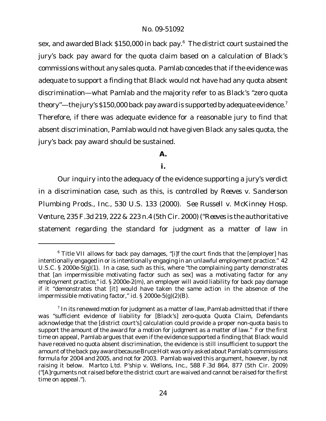sex, and awarded Black \$150,000 in back pay.<sup>6</sup> The district court sustained the jury's back pay award for the quota claim based on a calculation of Black's commissions without any sales quota. Pamlab concedes that if the evidence was adequate to support a finding that Black would not have had any quota absent discrimination—what Pamlab and the majority refer to as Black's "zero quota theory"—the jury's \$150,000 back pay award is supported by adequate evidence.<sup>7</sup> Therefore, if there was adequate evidence for a reasonable jury to find that absent discrimination, Pamlab would not have given Black any sales quota, the jury's back pay award should be sustained.

## **A.**

**i.**

Our inquiry into the adequacy of the evidence supporting a jury's verdict in a discrimination case, such as this, is controlled by *Reeves v. Sanderson Plumbing Prods., Inc.*, 530 U.S. 133 (2000). *See Russell v. McKinney Hosp. Venture*, 235 F.3d 219, 222 & 223 n.4 (5th Cir. 2000) ("*Reeves* is the authoritative statement regarding the standard for judgment as a matter of law in

 $6$  Title VII allows for back pay damages, "[i]f the court finds that the [employer] has intentionally engaged in or is intentionally engaging in an unlawful employment practice." 42 U.S.C. § 2000e-5(g)(1). In a case, such as this, where "the complaining party demonstrates that [an impermissible motivating factor such as sex] was a motivating factor for any employment practice," *id.* § 2000e-2(m), an employer will avoid liability for back pay damage if it "demonstrates that [it] would have taken the same action in the absence of the impermissible motivating factor," *id.* § 2000e-5(g)(2)(B).

 $^7$  In its renewed motion for judgment as a matter of law, Pamlab admitted that if there was "sufficient evidence of liability for [Black's] zero-quota Quota Claim, Defendants acknowledge that the [district court's] calculation could provide a proper non-quota basis to support the amount of the award for a motion for judgment as a matter of law." For the first time on appeal, Pamlab argues that even if the evidence supported a finding that Black would have received no quota absent discrimination, the evidence is still insufficient to support the amount of the back pay award because Bruce Holt was only asked about Pamlab's commissions formula for 2004 and 2005, and not for 2003. Pamlab waived this argument, however, by not raising it below. *Martco Ltd. P'ship v. Wellons, Inc.*, 588 F.3d 864, 877 (5th Cir. 2009) ("[A]rguments not raised before the district court are waived and cannot be raised for the first time on appeal.").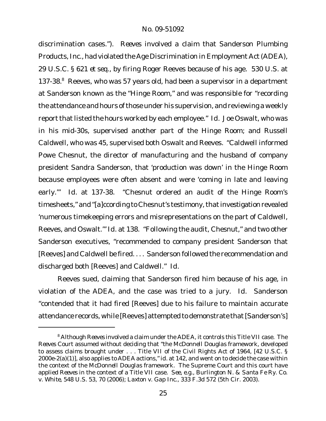discrimination cases."). *Reeves* involved a claim that Sanderson Plumbing Products, Inc., had violated the Age Discrimination in Employment Act(ADEA), 29 U.S.C. § 621 *et seq.*, by firing Roger Reeves because of his age. 530 U.S. at 137-38.<sup>8</sup> Reeves, who was 57 years old, had been a supervisor in a department at Sanderson known as the "Hinge Room," and was responsible for "recording the attendance and hours of those under his supervision, and reviewing a weekly report that listed the hours worked by each employee." Id. Joe Oswalt, who was in his mid-30s, supervised another part of the Hinge Room; and Russell Caldwell, who was 45, supervised both Oswalt and Reeves. "Caldwell informed Powe Chesnut, the director of manufacturing and the husband of company president Sandra Sanderson, that 'production was down' in the Hinge Room because employees were often absent and were 'coming in late and leaving early.'" *Id.* at 137-38. "Chesnut ordered an audit of the Hinge Room's timesheets," and "[a]ccording to Chesnut's testimony, that investigation revealed 'numerous timekeeping errors and misrepresentations on the part of Caldwell, Reeves, and Oswalt.'" *Id.* at 138. "Following the audit, Chesnut," and two other Sanderson executives, "recommended to company president Sanderson that [Reeves] and Caldwell be fired. . . . Sanderson followed the recommendation and discharged both [Reeves] and Caldwell." *Id.*

Reeves sued, claiming that Sanderson fired him because of his age, in violation of the ADEA, and the case was tried to a jury. *Id.* Sanderson "contended that it had fired [Reeves] due to his failure to maintain accurate attendance records, while [Reeves] attempted to demonstrate that [Sanderson's]

<sup>8</sup> Although *Reeves* involved a claim under the ADEA, it controls this Title VII case. The *Reeves* Court assumed without deciding that "the *McDonnell Douglas* framework, developed to assess claims brought under . . . Title VII of the Civil Rights Act of 1964, [42 U.S.C. § 2000e-2(a)(1)], also applies to ADEA actions," *id.* at 142, and went on to decide the case within the context of the *McDonnell Douglas* framework. The Supreme Court and this court have applied *Reeves* in the context of a Title VII case. *See, e.g.*, *Burlington N. & Santa Fe Ry. Co. v. White*, 548 U.S. 53, 70 (2006); *Laxton v. Gap Inc.*, 333 F.3d 572 (5th Cir. 2003).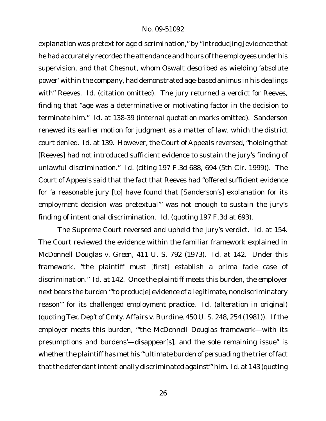explanation was pretext for age discrimination," by "introduc[ing] evidence that he had accurately recorded the attendance and hours of the employees under his supervision, and that Chesnut, whom Oswalt described as wielding 'absolute power' within the company, had demonstrated age-based animus in his dealings with" Reeves. *Id.* (citation omitted). The jury returned a verdict for Reeves, finding that "age was a determinative or motivating factor in the decision to terminate him." *Id.* at 138-39 (internal quotation marks omitted). Sanderson renewed its earlier motion for judgment as a matter of law, which the district court denied. *Id.* at 139. However, the Court of Appeals reversed, "holding that [Reeves] had not introduced sufficient evidence to sustain the jury's finding of unlawful discrimination." *Id.* (citing 197 F.3d 688, 694 (5th Cir. 1999)). The Court of Appeals said that the fact that Reeves had "offered sufficient evidence for 'a reasonable jury [to] have found that [Sanderson's] explanation for its employment decision was pretextual'" was not enough to sustain the jury's finding of intentional discrimination. *Id.* (quoting 197 F.3d at 693).

The Supreme Court reversed and upheld the jury's verdict. *Id.* at 154. The Court reviewed the evidence within the familiar framework explained in *McDonnell Douglas v. Green*, 411 U. S. 792 (1973). *Id.* at 142. Under this framework, "the plaintiff must [first] establish a prima facie case of discrimination." *Id.* at 142. Once the plaintiff meets this burden, the employer next bears the burden "'to produc[e] evidence of a legitimate, nondiscriminatory reason'" for its challenged employment practice. *Id.* (alteration in original) (quoting *Tex. Dep't of Cmty. Affairs v. Burdine*, 450 U. S. 248, 254 (1981)). If the employer meets this burden, "'the *McDonnell Douglas* framework—with its presumptions and burdens'—disappear[s], and the sole remaining issue" is whether the plaintiff has met his "'ultimate burden of persuading the trier of fact that the defendant intentionally discriminated against<sup>'</sup> him. Id. at 143 (quoting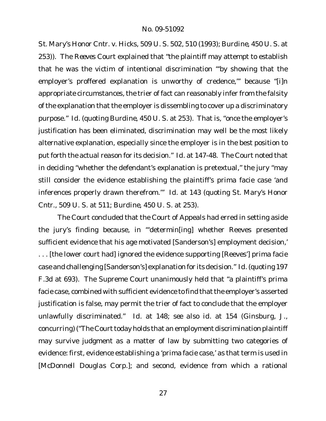*St. Mary's Honor Cntr. v. Hicks*, 509 U. S. 502, 510 (1993); *Burdine*, 450 U. S. at 253)). The *Reeves* Court explained that "the plaintiff may attempt to establish that he was the victim of intentional discrimination "'by showing that the employer's proffered explanation is unworthy of credence,'" because "[i]n appropriate circumstances, the trier of fact can reasonably infer from the falsity of the explanation that the employer is dissembling to cover up a discriminatory purpose." *Id.* (quoting *Burdine*, 450 U. S. at 253). That is, "once the employer's justification has been eliminated, discrimination may well be the most likely alternative explanation, especially since the employer is in the best position to put forth the actual reason for its decision." *Id.* at 147-48. The Court noted that in deciding "whether the defendant's explanation is pretextual," the jury "may still consider the evidence establishing the plaintiff's prima facie case 'and inferences properly drawn therefrom.'" *Id.* at 143 (quoting *St. Mary's Honor Cntr.*, 509 U. S. at 511; *Burdine*, 450 U. S. at 253).

The Court concluded that the Court of Appeals had erred in setting aside the jury's finding because, in "'determin[ing] whether Reeves presented sufficient evidence that his age motivated [Sanderson's] employment decision,' . . . [the lower court had] ignored the evidence supporting [Reeves'] prima facie case and challenging [Sanderson's] explanation for its decision." *Id.*(quoting 197 F.3d at 693). The Supreme Court unanimously held that "a plaintiff's prima facie case, combined with sufficient evidence to find that the employer's asserted justification is false, may permit the trier of fact to conclude that the employer unlawfully discriminated." *Id.* at 148; *see also id.* at 154 (Ginsburg, J., concurring) ("The Court today holds that an employment discrimination plaintiff may survive judgment as a matter of law by submitting two categories of evidence: first, evidence establishing a 'prima facie case,' as that term is used in [*McDonnell Douglas Corp.*]; and second, evidence from which a rational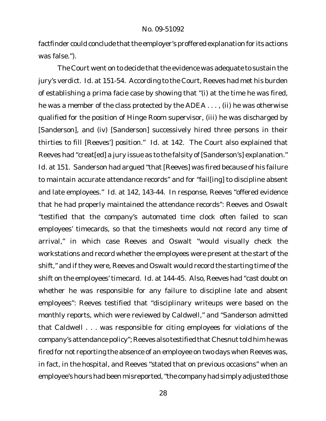factfinder could conclude that the employer's proffered explanation for its actions was false.").

The Court went on to decide that the evidence was adequate to sustain the jury's verdict. *Id.* at 151-54. According to the Court, Reeves had met his burden of establishing a prima facie case by showing that "(i) at the time he was fired, he was a member of the class protected by the ADEA . . . , (ii) he was otherwise qualified for the position of Hinge Room supervisor, (iii) he was discharged by [Sanderson], and (iv) [Sanderson] successively hired three persons in their thirties to fill [Reeves'] position." *Id.* at 142. The Court also explained that Reeves had "creat[ed] a jury issue as to the falsity of [Sanderson's] explanation." *Id.* at 151. Sanderson had argued "that [Reeves] was fired because of his failure to maintain accurate attendance records" and for "fail[ing] to discipline absent and late employees." *Id.* at 142, 143-44. In response, Reeves "offered evidence that he had properly maintained the attendance records": Reeves and Oswalt "testified that the company's automated time clock often failed to scan employees' timecards, so that the timesheets would not record any time of arrival," in which case Reeves and Oswalt "would visually check the workstations and record whether the employees were present at the start of the shift," and if they were, Reeves and Oswalt would record the starting time of the shift on the employees' timecard. *Id.* at 144-45. Also, Reeves had "cast doubt on whether he was responsible for any failure to discipline late and absent employees": Reeves testified that "disciplinary writeups were based on the monthly reports, which were reviewed by Caldwell," and "Sanderson admitted that Caldwell . . . was responsible for citing employees for violations of the company's attendance policy"; Reeves also testified that Chesnut told him he was fired for not reporting the absence of an employee on two days when Reeves was, in fact, in the hospital, and Reeves "stated that on previous occasions" when an employee's hours had been misreported, "the company had simply adjusted those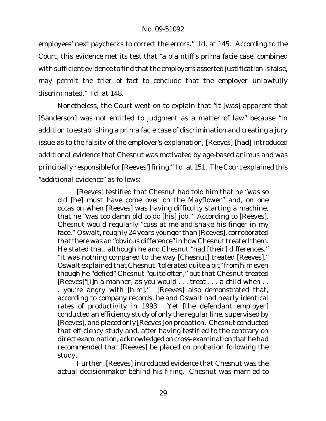employees' next paychecks to correct the errors." *Id.* at 145. According to the Court, this evidence met its test that "a plaintiff's prima facie case, combined with sufficient evidence to find that the employer's asserted justification is false, may permit the trier of fact to conclude that the employer unlawfully discriminated." *Id.* at 148.

Nonetheless, the Court went on to explain that "it [was] apparent that [Sanderson] was not entitled to judgment as a matter of law" because "in addition to establishing a prima facie case of discrimination and creating a jury issue as to the falsity of the employer's explanation, [Reeves] [had] introduced additional evidence that Chesnut was motivated by age-based animus and was principally responsible for [Reeves'] firing." *Id.* at 151. The Court explained this "additional evidence" as follows:

[Reeves] testified that Chesnut had told him that he "was so old [he] must have come over on the Mayflower" and, on one occasion when [Reeves] was having difficulty starting a machine, that he "was too damn old to do [his] job." According to [Reeves], Chesnut would regularly "cuss at me and shake his finger in my face." Oswalt, roughly 24 years younger than [Reeves], corroborated that there was an "obvious difference" in how Chesnut treated them. He stated that, although he and Chesnut "had [their] differences," "it was nothing compared to the way [Chesnut] treated [Reeves]." Oswalt explained that Chesnut "tolerated quite a bit" from him even though he "defied" Chesnut "quite often," but that Chesnut treated [Reeves]"[i]n a manner, as you would . . . treat . . . a child when . . . you're angry with [him]." [Reeves] also demonstrated that, according to company records, he and Oswalt had nearly identical rates of productivity in 1993. Yet [the defendant employer] conducted an efficiency study of only the regular line, supervised by [Reeves], and placed only [Reeves] on probation. Chesnut conducted that efficiency study and, after having testified to the contrary on direct examination, acknowledged on cross-examination that he had recommended that [Reeves] be placed on probation following the study.

Further, [Reeves] introduced evidence that Chesnut was the actual decisionmaker behind his firing. Chesnut was married to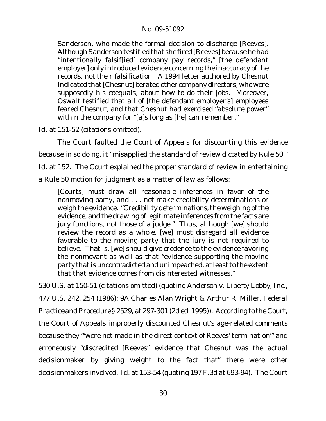Sanderson, who made the formal decision to discharge [Reeves]. Although Sanderson testified that she fired [Reeves] because he had "intentionally falsif[ied] company pay records," [the defendant employer] only introduced evidence concerning the inaccuracy of the records, not their falsification. A 1994 letter authored by Chesnut indicated that [Chesnut] berated other company directors, who were supposedly his coequals, about how to do their jobs. Moreover, Oswalt testified that all of [the defendant employer's] employees feared Chesnut, and that Chesnut had exercised "absolute power" within the company for "[a]s long as [he] can remember."

*Id.* at 151-52 (citations omitted).

The Court faulted the Court of Appeals for discounting this evidence because in so doing, it "misapplied the standard of review dictated by Rule 50." *Id.* at 152. The Court explained the proper standard of review in entertaining a Rule 50 motion for judgment as a matter of law as follows:

[Courts] must draw all reasonable inferences in favor of the nonmoving party, and . . . not make credibility determinations or weigh the evidence. "Credibility determinations, the weighing of the evidence, and the drawing of legitimate inferences from the facts are jury functions, not those of a judge." Thus, although [we] should review the record as a whole, [we] must disregard all evidence favorable to the moving party that the jury is not required to believe. That is, [we] should give credence to the evidence favoring the nonmovant as well as that "evidence supporting the moving party that is uncontradicted and unimpeached, at least to the extent that that evidence comes from disinterested witnesses."

530 U.S. at 150-51 (citations omitted) (quoting *Anderson v. Liberty Lobby, Inc.*, 477 U.S. 242, 254 (1986); 9A Charles Alan Wright & Arthur R. Miller, *Federal Practice and Procedure* § 2529, at 297-301 (2d ed. 1995)). According to the Court, the Court of Appeals improperly discounted Chesnut's age-related comments because they "'were not made in the direct context of Reeves' termination'" and erroneously "discredited [Reeves'] evidence that Chesnut was the actual decisionmaker by giving weight to the fact that" there were other decisionmakers involved. *Id.* at 153-54 (quoting 197 F.3d at 693-94). The Court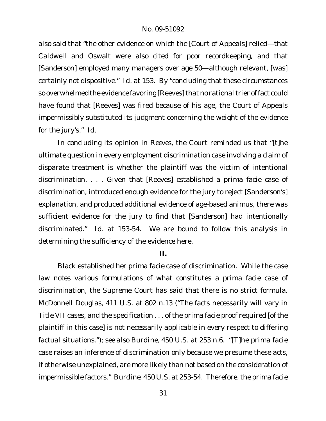also said that "the other evidence on which the [Court of Appeals] relied—that Caldwell and Oswalt were also cited for poor recordkeeping, and that [Sanderson] employed many managers over age 50—although relevant, [was] certainly not dispositive." *Id.* at 153. By "concluding that these circumstances so overwhelmed the evidence favoring [Reeves] that no rational trier of fact could have found that [Reeves] was fired because of his age, the Court of Appeals impermissibly substituted its judgment concerning the weight of the evidence for the jury's." *Id.*

In concluding its opinion in *Reeves*, the Court reminded us that "[t]he ultimate question in every employment discrimination case involving a claim of disparate treatment is whether the plaintiff was the victim of intentional discrimination. . . . Given that [Reeves] established a prima facie case of discrimination, introduced enough evidence for the jury to reject [Sanderson's] explanation, and produced additional evidence of age-based animus, there was sufficient evidence for the jury to find that [Sanderson] had intentionally discriminated." *Id.* at 153-54. We are bound to follow this analysis in determining the sufficiency of the evidence here.

**ii.**

Black established her prima facie case of discrimination. While the case law notes various formulations of what constitutes a prima facie case of discrimination, the Supreme Court has said that there is no strict formula. *McDonnell Douglas*, 411 U.S. at 802 n.13 ("The facts necessarily will vary in Title VII cases, and the specification . . . of the prima facie proof required [of the plaintiff in this case] is not necessarily applicable in every respect to differing factual situations."); *see also Burdine*, 450 U.S. at 253 n.6. "[T]he prima facie case raises an inference of discrimination only because we presume these acts, if otherwise unexplained, are more likely than not based on the consideration of impermissible factors." *Burdine*, 450 U.S. at 253-54. Therefore, the prima facie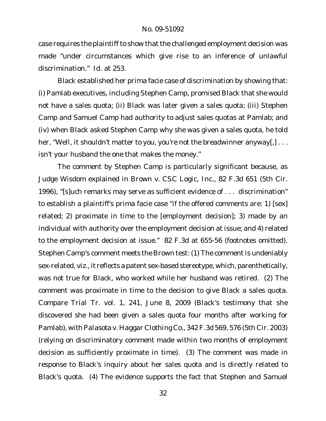case requires the plaintiff to show that the challenged employment decision was made "under circumstances which give rise to an inference of unlawful discrimination." *Id.* at 253.

Black established her prima facie case of discrimination by showing that: (i) Pamlab executives, including Stephen Camp, promised Black that she would not have a sales quota; (ii) Black was later given a sales quota; (iii) Stephen Camp and Samuel Camp had authority to adjust sales quotas at Pamlab; and (iv) when Black asked Stephen Camp why she was given a sales quota, he told her, "Well, it shouldn't matter to you, you're not the breadwinner anyway[,] ... isn't your husband the one that makes the money."

The comment by Stephen Camp is particularly significant because, as Judge Wisdom explained in *Brown v. CSC Logic, Inc.*, 82 F.3d 651 (5th Cir. 1996), "[s]uch remarks may serve as sufficient evidence of . . . discrimination" to establish a plaintiff's prima facie case "if the offered comments are: 1) [sex] related; 2) proximate in time to the [employment decision]; 3) made by an individual with authority over the employment decision at issue; and 4) related to the employment decision at issue." 82 F.3d at 655-56 (footnotes omitted). Stephen Camp's comment meets the *Brown* test: (1) The comment is undeniably sex-related, *viz.*, it reflects a patent sex-based stereotype, which, parenthetically, was not true for Black, who worked while her husband was retired. (2) The comment was proximate in time to the decision to give Black a sales quota. *Compare* Trial Tr. vol. 1, 241, June 8, 2009 (Black's testimony that she discovered she had been given a sales quota four months after working for Pamlab), *withPalasota v. Haggar Clothing Co.*, 342F.3d 569, 576 (5th Cir. 2003) (relying on discriminatory comment made within two months of employment decision as sufficiently proximate in time). (3) The comment was made in response to Black's inquiry about her sales quota and is directly related to Black's quota. (4) The evidence supports the fact that Stephen and Samuel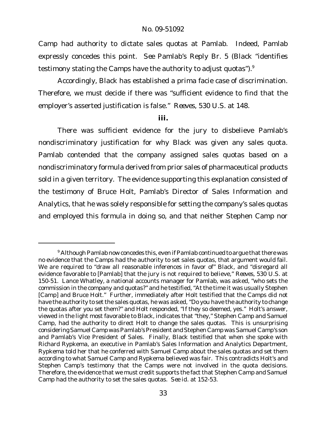Camp had authority to dictate sales quotas at Pamlab. Indeed, Pamlab expressly concedes this point. *See* Pamlab's Reply Br. 5 (Black "identifies testimony stating the Camps have the authority to adjust quotas").<sup>9</sup>

Accordingly, Black has established a prima facie case of discrimination. Therefore, we must decide if there was "sufficient evidence to find that the employer's asserted justification is false." *Reeves*, 530 U.S. at 148.

**iii.**

There was sufficient evidence for the jury to disbelieve Pamlab's nondiscriminatory justification for why Black was given any sales quota. Pamlab contended that the company assigned sales quotas based on a nondiscriminatory formula derived from prior sales of pharmaceutical products sold in a given territory. The evidence supporting this explanation consisted of the testimony of Bruce Holt, Pamlab's Director of Sales Information and Analytics, that he was solely responsible for setting the company's sales quotas and employed this formula in doing so, and that neither Stephen Camp nor

<sup>&</sup>lt;sup>9</sup> Although Pamlab now concedes this, even if Pamlab continued to argue that there was no evidence that the Camps had the authority to set sales quotas, that argument would fail. We are required to "draw all reasonable inferences in favor of" Black, and "disregard all evidence favorable to [Pamlab] that the jury is not required to believe," *Reeves*, 530 U.S. at 150-51. Lance Whatley, a national accounts manager for Pamlab, was asked, "who sets the commission in the company and quotas?" and he testified, "At the time it was usually Stephen [Camp] and Bruce Holt." Further, immediately after Holt testified that the Camps did not have the authority to set the sales quotas, he was asked, "Do you have the authority to change the quotas after you set them?" and Holt responded, "If they so deemed, yes." Holt's answer, viewed in the light most favorable to Black, indicates that "they," Stephen Camp and Samuel Camp, had the authority to direct Holt to change the sales quotas. This is unsurprising considering Samuel Camp was Pamlab's President and Stephen Camp was Samuel Camp's son and Pamlab's Vice President of Sales. Finally, Black testified that when she spoke with Richard Rypkema, an executive in Pamlab's Sales Information and Analytics Department, Rypkema told her that he conferred with Samuel Camp about the sales quotas and set them according to what Samuel Camp and Rypkema believed was fair. This contradicts Holt's and Stephen Camp's testimony that the Camps were not involved in the quota decisions. Therefore, the evidence that we must credit supports the fact that Stephen Camp and Samuel Camp had the authority to set the sales quotas. *See id.* at 152-53.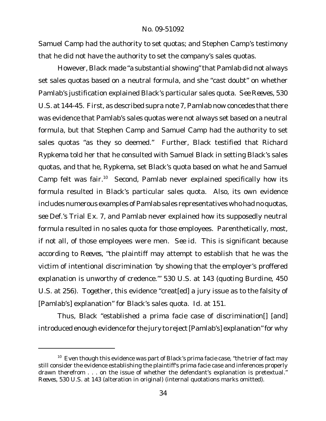Samuel Camp had the authority to set quotas; and Stephen Camp's testimony that he did not have the authority to set the company's sales quotas.

However, Black made "a substantial showing"that Pamlab did not always set sales quotas based on a neutral formula, and she "cast doubt" on whether Pamlab's justification explained Black's particular sales quota. *See Reeves*, 530 U.S. at 144-45. First, as described supra note 7, Pamlab now concedes that there was evidence that Pamlab's sales quotas were not always set based on a neutral formula, but that Stephen Camp and Samuel Camp had the authority to set sales quotas "as they so deemed." Further, Black testified that Richard Rypkema told her that he consulted with Samuel Black in setting Black's sales quotas, and that he, Rypkema, set Black's quota based on what he and Samuel Camp felt was fair.<sup>10</sup> Second, Pamlab never explained specifically how its formula resulted in Black's particular sales quota. Also, its own evidence includes numerous examples of Pamlab sales representatives who had no quotas, *see* Def.'s Trial Ex. 7, and Pamlab never explained how its supposedly neutral formula resulted in no sales quota for those employees. Parenthetically, most, if not all, of those employees were men. *See id.* This is significant because according to *Reeves*, "the plaintiff may attempt to establish that he was the victim of intentional discrimination 'by showing that the employer's proffered explanation is unworthy of credence.'" 530 U.S. at 143 (quoting *Burdine*, 450 U.S. at 256). Together, this evidence "creat[ed] a jury issue as to the falsity of [Pamlab's] explanation" for Black's sales quota. *Id.* at 151.

Thus, Black "established a prima facie case of discrimination[] [and] introduced enough evidence for the jury to reject [Pamlab's] explanation" for why

 $10$  Even though this evidence was part of Black's prima facie case, "the trier of fact may still consider the evidence establishing the plaintiff's prima facie case and inferences properly drawn therefrom . . . on the issue of whether the defendant's explanation is pretextual." *Reeves*, 530 U.S. at 143 (alteration in original) (internal quotations marks omitted).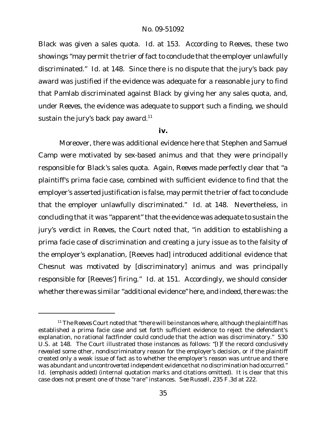Black was given a sales quota. *Id.* at 153. According to *Reeves*, these two showings "may permit the trier of fact to conclude that the employer unlawfully discriminated." *Id.* at 148. Since there is no dispute that the jury's back pay award was justified if the evidence was adequate for a reasonable jury to find that Pamlab discriminated against Black by giving her any sales quota, and, under *Reeves*, the evidence was adequate to support such a finding, we should sustain the jury's back pay award.<sup>11</sup>

#### **iv.**

Moreover, there was additional evidence here that Stephen and Samuel Camp were motivated by sex-based animus and that they were principally responsible for Black's sales quota. Again, *Reeves* made perfectly clear that "a plaintiff's prima facie case, combined with sufficient evidence to find that the employer's asserted justification is false, may permit the trier of fact to conclude that the employer unlawfully discriminated." *Id.* at 148. Nevertheless, in concluding that it was "apparent" that the evidence was adequate to sustain the jury's verdict in *Reeves*, the Court noted that, "in addition to establishing a prima facie case of discrimination and creating a jury issue as to the falsity of the employer's explanation, [Reeves had] introduced additional evidence that Chesnut was motivated by [discriminatory] animus and was principally responsible for [Reeves'] firing." *Id.* at 151. Accordingly, we should consider whether there was similar "additional evidence" here, and indeed, there was: the

<sup>11</sup> The *Reeves* Court noted that "there will be instances where, although the plaintiff has established a prima facie case and set forth sufficient evidence to reject the defendant's explanation, no rational factfinder could conclude that the action was discriminatory." 530 U.S. at 148. The Court illustrated those instances as follows: "[I]f the record *conclusively revealed* some other, nondiscriminatory reason for the employer's decision, or if the plaintiff created only a weak issue of fact as to whether the employer's reason was untrue and there was *abundant and uncontroverted independent evidence* that no discrimination had occurred." *Id.* (emphasis added) (internal quotation marks and citations omitted). It is clear that this case does not present one of those "rare" instances. *See Russell*, 235 F.3d at 222.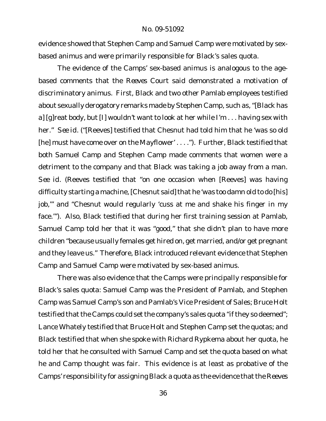evidence showed that Stephen Camp and Samuel Camp were motivated by sexbased animus and were primarily responsible for Black's sales quota.

The evidence of the Camps' sex-based animus is analogous to the agebased comments that the *Reeves* Court said demonstrated a motivation of discriminatory animus. First, Black and two other Pamlab employees testified about sexually derogatory remarks made by Stephen Camp, such as, "[Black has a] [g]reat body, but [I] wouldn't want to look at her while I'm . . . having sex with her." *See id.* ("[Reeves] testified that Chesnut had told him that he 'was so old [he] must have come over on the Mayflower' . . . ."). Further, Black testified that both Samuel Camp and Stephen Camp made comments that women were a detriment to the company and that Black was taking a job away from a man. *See id.* (Reeves testified that "on one occasion when [Reeves] was having difficulty starting a machine, [Chesnut said] that he 'was too damn old to do [his] job,'" and "Chesnut would regularly 'cuss at me and shake his finger in my face.'"). Also, Black testified that during her first training session at Pamlab, Samuel Camp told her that it was "good," that she didn't plan to have more children "because usually females get hired on, get married, and/or get pregnant and they leave us." Therefore, Black introduced relevant evidence that Stephen Camp and Samuel Camp were motivated by sex-based animus.

There was also evidence that the Camps were principally responsible for Black's sales quota: Samuel Camp was the President of Pamlab, and Stephen Camp was Samuel Camp's son and Pamlab's Vice President of Sales; Bruce Holt testified that the Camps could set the company's sales quota "if they so deemed"; Lance Whately testified that Bruce Holt *and* Stephen Camp set the quotas; and Black testified that when she spoke with Richard Rypkema about her quota, he told her that he consulted with Samuel Camp and set the quota based on what he and Camp thought was fair. This evidence is at least as probative of the Camps' responsibility for assigning Black a quota as the evidence that the *Reeves*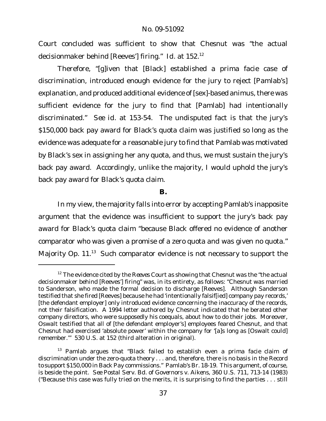Court concluded was sufficient to show that Chesnut was "the actual decisionmaker behind [Reeves'] firing." *Id.* at 152.<sup>12</sup>

Therefore, "[g]iven that [Black] established a prima facie case of discrimination, introduced enough evidence for the jury to reject [Pamlab's] explanation, and produced additional evidence of [sex]-based animus, there was sufficient evidence for the jury to find that [Pamlab] had intentionally discriminated." *See id.* at 153-54. The undisputed fact is that the jury's \$150,000 back pay award for Black's quota claim was justified so long as the evidence was adequate for a reasonable jury to find that Pamlab was motivated by Black's sex in assigning her *any* quota, and thus, we must sustain the jury's back pay award. Accordingly, unlike the majority, I would uphold the jury's back pay award for Black's quota claim.

**B.**

In my view, the majority falls into error by accepting Pamlab's inapposite argument that the evidence was insufficient to support the jury's back pay award for Black's quota claim "because Black offered no evidence of another comparator who was given a promise of a zero quota *and* was given no quota." Majority Op. 11.<sup>13</sup> Such comparator evidence is not necessary to support the

<sup>12</sup> The evidence cited by the *Reeves* Court as showing that Chesnut was the "the actual decisionmaker behind [Reeves'] firing" was, in its entirety, as follows: "Chesnut was married to Sanderson, who made the formal decision to discharge [Reeves]. Although Sanderson testified that she fired [Reeves] because he had 'intentionally falsif[ied] company pay records,' [the defendant employer] only introduced evidence concerning the inaccuracy of the records, not their falsification. A 1994 letter authored by Chesnut indicated that he berated other company directors, who were supposedly his coequals, about how to do their jobs. Moreover, Oswalt testified that all of [the defendant employer's] employees feared Chesnut, and that Chesnut had exercised 'absolute power' within the company for '[a]s long as [Oswalt could] remember.'" 530 U.S. at 152 (third alteration in original).

<sup>13</sup> Pamlab argues that "Black failed to establish even a *prima facie* claim of discrimination under the zero-quota theory . . . and, therefore, there is no basis in the Record to support \$150,000 in Back Pay commissions." Pamlab's Br. 18-19. This argument, of course, is beside the point. *See Postal Serv. Bd. of Governors v. Aikens*, 360 U.S. 711, 713-14 (1983) ("Because this case was fully tried on the merits, it is surprising to find the parties . . . still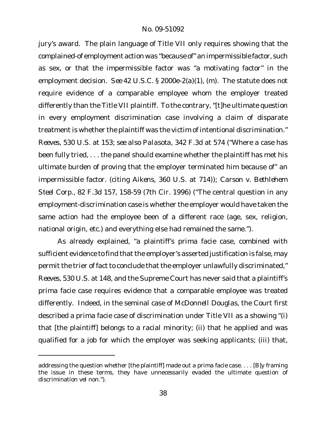jury's award. The plain language of Title VII only requires showing that the complained-of employment action was "because of" an impermissible factor, such as sex, or that the impermissible factor was "a motivating factor" in the employment decision. *See* 42 U.S.C. § 2000e-2(a)(1), (m). The statute does not require evidence of a comparable employee whom the employer treated differently than the Title VII plaintiff. To the contrary, "[t]he ultimate question in every employment discrimination case involving a claim of disparate treatment is whether the plaintiff was the victim of intentional discrimination." *Reeves*, 530 U.S. at 153; *see also Palasota*, 342 F.3d at 574 ("Where a case has been fully tried, . . . the panel should examine whether the plaintiff has met his ultimate burden of proving that the employer terminated him because of" an impermissible factor. (citing *Aikens*, 360 U.S. at 714)); *Carson v. Bethlehem Steel Corp.*, 82 F.3d 157, 158-59 (7th Cir. 1996) ("The central question in any employment-discrimination case is whether the employer would have taken the same action had the employee been of a different race (age, sex, religion, national origin, etc.) and everything else had remained the same.").

As already explained, "a plaintiff's prima facie case, combined with sufficient evidence to find that the employer's asserted justification is false, may permit the trier of fact to conclude that the employer unlawfully discriminated," *Reeves*, 530 U.S. at 148, and the Supreme Court has never said that a plaintiff's prima facie case requires evidence that a comparable employee was treated differently. Indeed, in the seminal case of *McDonnell Douglas*, the Court first described a prima facie case of discrimination under Title VII as a showing "(i) that [the plaintiff] belongs to a racial minority; (ii) that he applied and was qualified for a job for which the employer was seeking applicants; (iii) that,

addressing the question whether [the plaintiff] made out a prima facie case. . . . [B]y framing the issue in these terms, they have unnecessarily evaded the ultimate question of discrimination *vel non*.").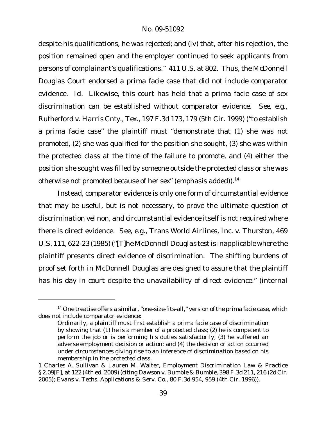despite his qualifications, he was rejected; and (iv) that, after his rejection, the position remained open and the employer continued to seek applicants from persons of complainant's qualifications." 411 U.S. at 802. Thus, the *McDonnell Douglas* Court endorsed a prima facie case that did not include comparator evidence. *Id.* Likewise, this court has held that a prima facie case of sex discrimination can be established without comparator evidence. *See, e.g.*, *Rutherford v. Harris Cnty., Tex.*, 197 F.3d 173, 179 (5th Cir. 1999) ("to establish a prima facie case" the plaintiff must "demonstrate that (1) she was not promoted, (2) she was qualified for the position she sought, (3) she was within the protected class at the time of the failure to promote, and (4) either the position she sought was filled by someone outside the protected class *or she was otherwise not promoted because of her sex*" (emphasis added)).<sup>14</sup>

Instead, comparator evidence is only one form of circumstantial evidence that may be useful, but is not necessary, to prove the ultimate question of discrimination *vel non*, and circumstantial evidence itself is not required where there is direct evidence. *See, e.g.*, *Trans World Airlines, Inc. v. Thurston*, 469 U.S. 111, 622-23 (1985) ("[T]he *McDonnell Douglas* testis inapplicable where the plaintiff presents direct evidence of discrimination. The shifting burdens of proof set forth in *McDonnell Douglas* are designed to assure that the plaintiff has his day in court despite the unavailability of direct evidence." (internal

<sup>&</sup>lt;sup>14</sup> One treatise offers a similar, "one-size-fits-all," version of the prima facie case, which does not include comparator evidence:

Ordinarily, a plaintiff must first establish a prima facie case of discrimination by showing that (1) he is a member of a protected class; (2) he is competent to perform the job or is performing his duties satisfactorily; (3) he suffered an adverse employment decision or action; and (4) the decision or action occurred under circumstances giving rise to an inference of discrimination based on his membership in the protected class.

<sup>1</sup> Charles A. Sullivan & Lauren M. Walter, Employment Discrimination Law & Practice § 2.09[F], at 122 (4th ed. 2009) (citing *Dawson v. Bumble & Bumble*, 398 F.3d 211, 216 (2d Cir. 2005); *Evans v. Techs. Applications & Serv. Co.*, 80 F.3d 954, 959 (4th Cir. 1996)).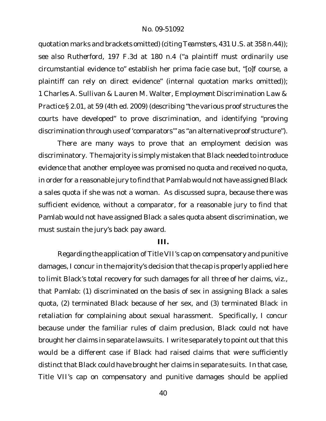quotation marks and brackets omitted) (citing *Teamsters*, 431 U.S. at 358 n.44)); *see also Rutherford*, 197 F.3d at 180 n.4 ("a plaintiff must ordinarily use circumstantial evidence to" establish her prima facie case but, "[o]f course, a plaintiff can rely on direct evidence" (internal quotation marks omitted)); 1 Charles A. Sullivan & Lauren M. Walter, *Employment Discrimination Law & Practice* § 2.01, at 59 (4th ed. 2009) (describing "the various proof structures the courts have developed" to prove discrimination, and identifying "proving discrimination through use of 'comparators'" as "an alternative proof structure").

There are many ways to prove that an employment decision was discriminatory. The majority is simply mistaken that Black needed to introduce evidence that another employee was promised no quota and received no quota, in order for a reasonable jury to find that Pamlab would not have assigned Black a sales quota if she was not a woman. As discussed *supra*, because there was sufficient evidence, without a comparator, for a reasonable jury to find that Pamlab would not have assigned Black a sales quota absent discrimination, we must sustain the jury's back pay award.

**III.**

Regarding the application of Title VII's cap on compensatory and punitive damages, I concur in the majority's decision that the cap is properly applied here to limit Black's total recovery for such damages for all three of her claims, *viz.*, that Pamlab: (1) discriminated on the basis of sex in assigning Black a sales quota, (2) terminated Black because of her sex, and (3) terminated Black in retaliation for complaining about sexual harassment. Specifically, I concur because under the familiar rules of claim preclusion, Black could not have brought her claims in separate lawsuits. I write separately to point out that this would be a different case if Black had raised claims that were sufficiently distinct that Black could have brought her claims in separate suits. In that case, Title VII's cap on compensatory and punitive damages should be applied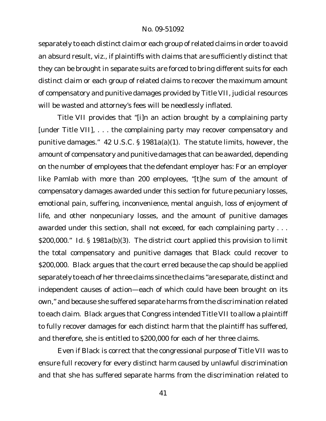separately to each distinct claim or each group of related claims in order to avoid an absurd result, *viz.*, if plaintiffs with claims that are sufficiently distinct that they can be brought in separate suits are forced to bring different suits for each distinct claim or each group of related claims to recover the maximum amount of compensatory and punitive damages provided by Title VII, judicial resources will be wasted and attorney's fees will be needlessly inflated.

Title VII provides that "[i]n an action brought by a complaining party [under Title VII], . . . the complaining party may recover compensatory and punitive damages." 42 U.S.C. § 1981a(a)(1). The statute limits, however, the amount of compensatory and punitive damages that can be awarded, depending on the number of employees that the defendant employer has: For an employer like Pamlab with more than 200 employees, "[t]he sum of the amount of compensatory damages awarded under this section for future pecuniary losses, emotional pain, suffering, inconvenience, mental anguish, loss of enjoyment of life, and other nonpecuniary losses, and the amount of punitive damages awarded under this section, shall not exceed, for each complaining party . . . \$200,000." *Id.* § 1981a(b)(3). The district court applied this provision to limit the total compensatory and punitive damages that Black could recover to \$200,000. Black argues that the court erred because the cap should be applied separately to each of her three claims since the claims "are separate, distinct and independent causes of action—each of which could have been brought on its own," and because she suffered separate harms from the discrimination related to each claim. Black argues that Congress intended Title VII to allow a plaintiff to fully recover damages for each distinct harm that the plaintiff has suffered, and therefore, she is entitled to \$200,000 for each of her three claims.

Even if Black is correct that the congressional purpose of Title VII was to ensure full recovery for every distinct harm caused by unlawful discrimination and that she has suffered separate harms from the discrimination related to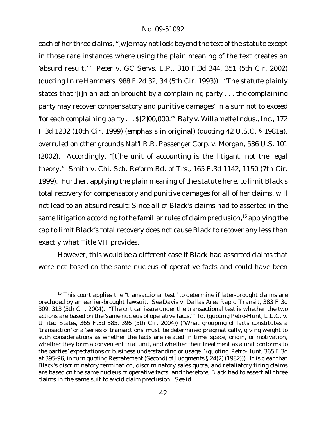each of her three claims, "[w]e may not look beyond the text of the statute except in those rare instances where using the plain meaning of the text creates an 'absurd result.'" *Peter v. GC Servs. L.P.*, 310 F.3d 344, 351 (5th Cir. 2002) (quoting *In re Hammers*, 988 F.2d 32, 34 (5th Cir. 1993)). "The statute plainly states that '[i]n an action brought *by a complaining party* . . . *the complaining party* may recover compensatory and punitive damages' in a sum not to exceed '*for each complaining party* . . . \$[2]00,000.'" *Baty v. Willamette Indus.*, *Inc.*, 172 F.3d 1232 (10th Cir. 1999) (emphasis in original) (quoting 42 U.S.C. § 1981a), *overruled on other grounds Nat'l R.R. Passenger Corp. v. Morgan*, 536 U.S. 101 (2002). Accordingly, "[t]he unit of accounting is the litigant, not the legal theory." *Smith v. Chi. Sch. Reform Bd. of Trs.*, 165 F.3d 1142, 1150 (7th Cir. 1999). Further, applying the plain meaning of the statute here, to limit Black's total recovery for compensatory and punitive damages for all of her claims, will not lead to an absurd result: Since all of Black's claims had to asserted in the same litigation according to the familiar rules of claim preclusion,<sup>15</sup> applying the cap to limit Black's total recovery does not cause Black to recover any less than exactly what Title VII provides.

However, this would be a different case if Black had asserted claims that were not based on the same nucleus of operative facts and could have been

 $15$  This court applies the "transactional test" to determine if later-brought claims are precluded by an earlier-brought lawsuit. *See Davis v. Dallas Area Rapid Transit*, 383 F.3d 309, 313 (5th Cir. 2004). "The critical issue under the transactional test is whether the two actions are based on the 'same nucleus of operative facts.'" *Id.* (quoting *Petro-Hunt, L.L.C. v. United States*, 365 F.3d 385, 396 (5th Cir. 2004)) ("What grouping of facts constitutes a 'transaction' or a 'series of transactions' must 'be determined pragmatically, giving weight to such considerations as whether the facts are related in time, space, origin, or motivation, whether they form a convenient trial unit, and whether their treatment as a unit conforms to the parties' expectations or business understanding or usage." (quoting *Petro-Hunt*, 365 F.3d at 395-96, in turn quoting Restatement (Second) of Judgments § 24(2) (1982))). It is clear that Black's discriminatory termination, discriminatory sales quota, and retaliatory firing claims are based on the same nucleus of operative facts, and therefore, Black had to assert all three claims in the same suit to avoid claim preclusion. *See id.*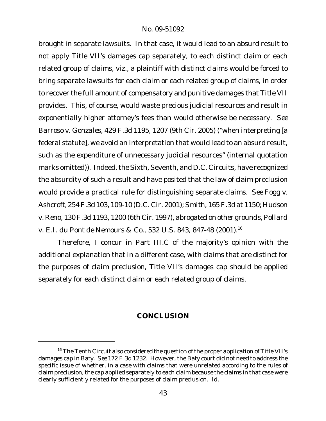brought in separate lawsuits. In that case, it would lead to an absurd result to not apply Title VII's damages cap separately, to each distinct claim or each related group of claims, *viz.*, a plaintiff with distinct claims would be forced to bring separate lawsuits for each claim or each related group of claims, in order to recover the full amount of compensatory and punitive damages that Title VII provides. This, of course, would waste precious judicial resources and result in exponentially higher attorney's fees than would otherwise be necessary. *See Barroso v. Gonzales*, 429 F.3d 1195, 1207 (9th Cir. 2005) ("when interpreting [a federal statute], we avoid an interpretation that would lead to an absurd result, such as the expenditure of unnecessary judicial resources" (internal quotation marks omitted)). Indeed, the Sixth, Seventh, and D.C. Circuits, have recognized the absurdity of such a result and have posited that the law of claim preclusion would provide a practical rule for distinguishing separate claims. *See Fogg v. Ashcroft*, 254F.3d 103, 109-10 (D.C. Cir. 2001); *Smith*, 165 F.3d at 1150; *Hudson v. Reno*, 130F.3d 1193, 1200 (6th Cir. 1997), *abrogated on other grounds*,*Pollard v. E.I. du Pont de Nemours & Co.*, 532 U.S. 843, 847-48 (2001).<sup>16</sup>

Therefore, I concur in Part III.C of the majority's opinion with the additional explanation that in a different case, with claims that are distinct for the purposes of claim preclusion, Title VII's damages cap should be applied separately for each distinct claim or each related group of claims.

# **CONCLUSION**

<sup>&</sup>lt;sup>16</sup> The Tenth Circuit also considered the question of the proper application of Title VII's damages cap in *Baty*. *See* 172 F.3d 1232. However, the *Baty* court did not need to address the specific issue of whether, in a case with claims that were unrelated according to the rules of claim preclusion, the cap applied separately to each claim because the claims in that case were clearly sufficiently related for the purposes of claim preclusion. *Id.*